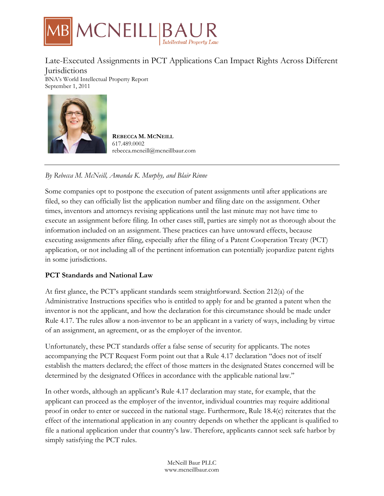

Late-Executed Assignments in PCT Applications Can Impact Rights Across Different **Jurisdictions** BNA's World Intellectual Property Report September 1, 2011

**REBECCA M. MCNEILL** 617.489.0002 rebecca.mcneill@mcneillbaur.com

# *By Rebecca M. McNeill, Amanda K. Murphy, and Blair Rinne*

Some companies opt to postpone the execution of patent assignments until after applications are filed, so they can officially list the application number and filing date on the assignment. Other times, inventors and attorneys revising applications until the last minute may not have time to execute an assignment before filing. In other cases still, parties are simply not as thorough about the information included on an assignment. These practices can have untoward effects, because executing assignments after filing, especially after the filing of a Patent Cooperation Treaty (PCT) application, or not including all of the pertinent information can potentially jeopardize patent rights in some jurisdictions.

### **PCT Standards and National Law**

At first glance, the PCT's applicant standards seem straightforward. Section 212(a) of the Administrative Instructions specifies who is entitled to apply for and be granted a patent when the inventor is not the applicant, and how the declaration for this circumstance should be made under Rule 4.17. The rules allow a non-inventor to be an applicant in a variety of ways, including by virtue of an assignment, an agreement, or as the employer of the inventor.

Unfortunately, these PCT standards offer a false sense of security for applicants. The notes accompanying the PCT Request Form point out that a Rule 4.17 declaration ''does not of itself establish the matters declared; the effect of those matters in the designated States concerned will be determined by the designated Offices in accordance with the applicable national law.''

In other words, although an applicant's Rule 4.17 declaration may state, for example, that the applicant can proceed as the employer of the inventor, individual countries may require additional proof in order to enter or succeed in the national stage. Furthermore, Rule 18.4(c) reiterates that the effect of the international application in any country depends on whether the applicant is qualified to file a national application under that country's law. Therefore, applicants cannot seek safe harbor by simply satisfying the PCT rules.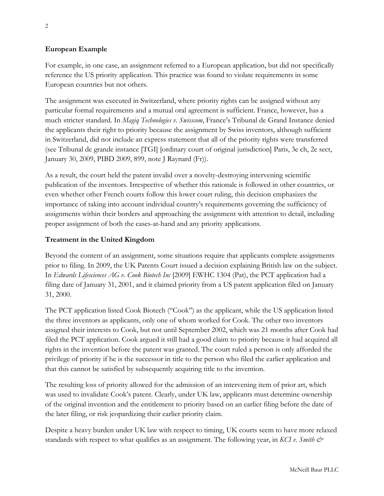### **European Example**

For example, in one case, an assignment referred to a European application, but did not specifically reference the US priority application. This practice was found to violate requirements in some European countries but not others.

The assignment was executed in Switzerland, where priority rights can be assigned without any particular formal requirements and a mutual oral agreement is sufficient. France, however, has a much stricter standard. In *Magiq Technologies v. Swisscom*, France's Tribunal de Grand Instance denied the applicants their right to priority because the assignment by Swiss inventors, although sufficient in Switzerland, did not include an express statement that all of the priority rights were transferred (see Tribunal de grande instance [TGI] [ordinary court of original jurisdiction] Paris, 3e ch, 2e sect, January 30, 2009, PIBD 2009, 899, note J Raynard (Fr)).

As a result, the court held the patent invalid over a novelty-destroying intervening scientific publication of the inventors. Irrespective of whether this rationale is followed in other countries, or even whether other French courts follow this lower court ruling, this decision emphasizes the importance of taking into account individual country's requirements governing the sufficiency of assignments within their borders and approaching the assignment with attention to detail, including proper assignment of both the cases-at-hand and any priority applications.

### **Treatment in the United Kingdom**

Beyond the content of an assignment, some situations require that applicants complete assignments prior to filing. In 2009, the UK Patents Court issued a decision explaining British law on the subject. In *Edwards Lifesciences AG v. Cook Biotech Inc* [2009] EWHC 1304 (Pat), the PCT application had a filing date of January 31, 2001, and it claimed priority from a US patent application filed on January 31, 2000.

The PCT application listed Cook Biotech (''Cook'') as the applicant, while the US application listed the three inventors as applicants, only one of whom worked for Cook. The other two inventors assigned their interests to Cook, but not until September 2002, which was 21 months after Cook had filed the PCT application. Cook argued it still had a good claim to priority because it had acquired all rights in the invention before the patent was granted. The court ruled a person is only afforded the privilege of priority if he is the successor in title to the person who filed the earlier application and that this cannot be satisfied by subsequently acquiring title to the invention.

The resulting loss of priority allowed for the admission of an intervening item of prior art, which was used to invalidate Cook's patent. Clearly, under UK law, applicants must determine ownership of the original invention and the entitlement to priority based on an earlier filing before the date of the later filing, or risk jeopardizing their earlier priority claim.

Despite a heavy burden under UK law with respect to timing, UK courts seem to have more relaxed standards with respect to what qualifies as an assignment. The following year, in *KCI v. Smith &*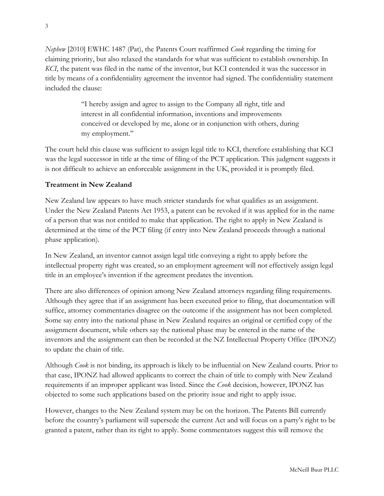*Nephew* [2010] EWHC 1487 (Pat), the Patents Court reaffirmed *Cook* regarding the timing for claiming priority, but also relaxed the standards for what was sufficient to establish ownership. In *KCI*, the patent was filed in the name of the inventor, but KCI contended it was the successor in title by means of a confidentiality agreement the inventor had signed. The confidentiality statement included the clause:

> ''I hereby assign and agree to assign to the Company all right, title and interest in all confidential information, inventions and improvements conceived or developed by me, alone or in conjunction with others, during my employment.''

The court held this clause was sufficient to assign legal title to KCI, therefore establishing that KCI was the legal successor in title at the time of filing of the PCT application. This judgment suggests it is not difficult to achieve an enforceable assignment in the UK, provided it is promptly filed.

## **Treatment in New Zealand**

New Zealand law appears to have much stricter standards for what qualifies as an assignment. Under the New Zealand Patents Act 1953, a patent can be revoked if it was applied for in the name of a person that was not entitled to make that application. The right to apply in New Zealand is determined at the time of the PCT filing (if entry into New Zealand proceeds through a national phase application).

In New Zealand, an inventor cannot assign legal title conveying a right to apply before the intellectual property right was created, so an employment agreement will not effectively assign legal title in an employee's invention if the agreement predates the invention.

There are also differences of opinion among New Zealand attorneys regarding filing requirements. Although they agree that if an assignment has been executed prior to filing, that documentation will suffice, attorney commentaries disagree on the outcome if the assignment has not been completed. Some say entry into the national phase in New Zealand requires an original or certified copy of the assignment document, while others say the national phase may be entered in the name of the inventors and the assignment can then be recorded at the NZ Intellectual Property Office (IPONZ) to update the chain of title.

Although *Cook* is not binding, its approach is likely to be influential on New Zealand courts. Prior to that case, IPONZ had allowed applicants to correct the chain of title to comply with New Zealand requirements if an improper applicant was listed. Since the *Cook* decision, however, IPONZ has objected to some such applications based on the priority issue and right to apply issue.

However, changes to the New Zealand system may be on the horizon. The Patents Bill currently before the country's parliament will supersede the current Act and will focus on a party's right to be granted a patent, rather than its right to apply. Some commentators suggest this will remove the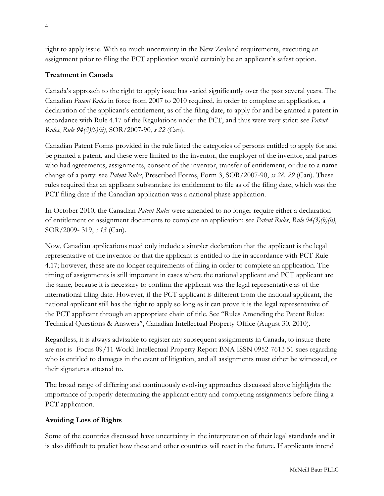right to apply issue. With so much uncertainty in the New Zealand requirements, executing an assignment prior to filing the PCT application would certainly be an applicant's safest option.

# **Treatment in Canada**

Canada's approach to the right to apply issue has varied significantly over the past several years. The Canadian *Patent Rules* in force from 2007 to 2010 required, in order to complete an application, a declaration of the applicant's entitlement, as of the filing date, to apply for and be granted a patent in accordance with Rule 4.17 of the Regulations under the PCT, and thus were very strict: see *Patent Rules*, *Rule 94(3)(b)(ii)*, SOR/2007-90, *s 22* (Can).

Canadian Patent Forms provided in the rule listed the categories of persons entitled to apply for and be granted a patent, and these were limited to the inventor, the employer of the inventor, and parties who had agreements, assignments, consent of the inventor, transfer of entitlement, or due to a name change of a party: see *Patent Rules*, Prescribed Forms, Form 3, SOR/2007-90, *ss 28, 29* (Can). These rules required that an applicant substantiate its entitlement to file as of the filing date, which was the PCT filing date if the Canadian application was a national phase application.

In October 2010, the Canadian *Patent Rules* were amended to no longer require either a declaration of entitlement or assignment documents to complete an application: see *Patent Rules*, *Rule 94(3)(b)(ii)*, SOR/2009- 319, *s 13* (Can).

Now, Canadian applications need only include a simpler declaration that the applicant is the legal representative of the inventor or that the applicant is entitled to file in accordance with PCT Rule 4.17; however, these are no longer requirements of filing in order to complete an application. The timing of assignments is still important in cases where the national applicant and PCT applicant are the same, because it is necessary to confirm the applicant was the legal representative as of the international filing date. However, if the PCT applicant is different from the national applicant, the national applicant still has the right to apply so long as it can prove it is the legal representative of the PCT applicant through an appropriate chain of title. See ''Rules Amending the Patent Rules: Technical Questions & Answers'', Canadian Intellectual Property Office (August 30, 2010).

Regardless, it is always advisable to register any subsequent assignments in Canada, to insure there are not is- Focus 09/11 World Intellectual Property Report BNA ISSN 0952-7613 51 sues regarding who is entitled to damages in the event of litigation, and all assignments must either be witnessed, or their signatures attested to.

The broad range of differing and continuously evolving approaches discussed above highlights the importance of properly determining the applicant entity and completing assignments before filing a PCT application.

## **Avoiding Loss of Rights**

Some of the countries discussed have uncertainty in the interpretation of their legal standards and it is also difficult to predict how these and other countries will react in the future. If applicants intend